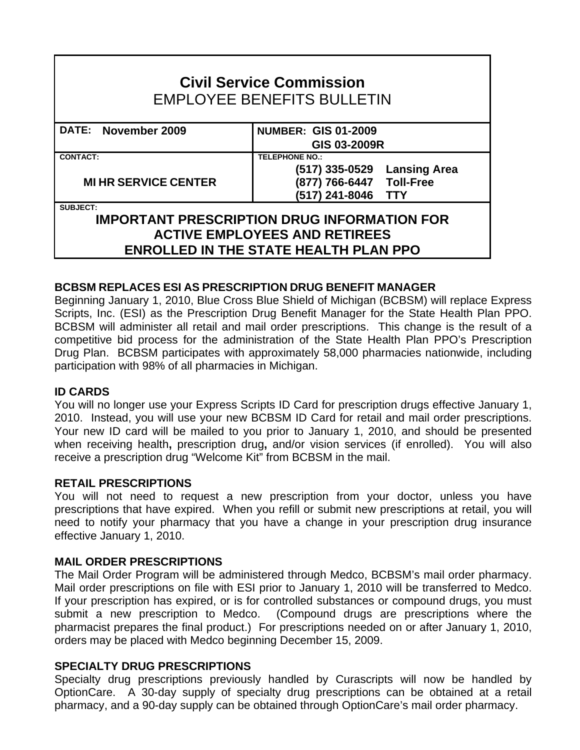| <b>Civil Service Commission</b><br><b>EMPLOYEE BENEFITS BULLETIN</b> |                             |
|----------------------------------------------------------------------|-----------------------------|
| DATE: November 2009                                                  | <b>NUMBER: GIS 01-2009</b>  |
|                                                                      | GIS 03-2009R                |
| <b>CONTACT:</b>                                                      | <b>TELEPHONE NO.:</b>       |
| <b>MI HR SERVICE CENTER</b>                                          | (517) 335-0529 Lansing Area |
|                                                                      | (877) 766-6447 Toll-Free    |
|                                                                      | (517) 241-8046 TTY          |
| <b>SUBJECT:</b>                                                      |                             |
| <b>IMPORTANT PRESCRIPTION DRUG INFORMATION FOR</b>                   |                             |
| <b>ACTIVE EMPLOYEES AND RETIREES</b>                                 |                             |
| <b>ENROLLED IN THE STATE HEALTH PLAN PPO</b>                         |                             |

# **BCBSM REPLACES ESI AS PRESCRIPTION DRUG BENEFIT MANAGER**

Beginning January 1, 2010, Blue Cross Blue Shield of Michigan (BCBSM) will replace Express Scripts, Inc. (ESI) as the Prescription Drug Benefit Manager for the State Health Plan PPO. BCBSM will administer all retail and mail order prescriptions. This change is the result of a competitive bid process for the administration of the State Health Plan PPO's Prescription Drug Plan. BCBSM participates with approximately 58,000 pharmacies nationwide, including participation with 98% of all pharmacies in Michigan.

# **ID CARDS**

You will no longer use your Express Scripts ID Card for prescription drugs effective January 1, 2010. Instead, you will use your new BCBSM ID Card for retail and mail order prescriptions. Your new ID card will be mailed to you prior to January 1, 2010, and should be presented when receiving health**,** prescription drug**,** and/or vision services (if enrolled). You will also receive a prescription drug "Welcome Kit" from BCBSM in the mail.

# **RETAIL PRESCRIPTIONS**

You will not need to request a new prescription from your doctor, unless you have prescriptions that have expired. When you refill or submit new prescriptions at retail, you will need to notify your pharmacy that you have a change in your prescription drug insurance effective January 1, 2010.

# **MAIL ORDER PRESCRIPTIONS**

The Mail Order Program will be administered through Medco, BCBSM's mail order pharmacy. Mail order prescriptions on file with ESI prior to January 1, 2010 will be transferred to Medco. If your prescription has expired, or is for controlled substances or compound drugs, you must submit a new prescription to Medco. (Compound drugs are prescriptions where the pharmacist prepares the final product.) For prescriptions needed on or after January 1, 2010, orders may be placed with Medco beginning December 15, 2009.

# **SPECIALTY DRUG PRESCRIPTIONS**

Specialty drug prescriptions previously handled by Curascripts will now be handled by OptionCare. A 30-day supply of specialty drug prescriptions can be obtained at a retail pharmacy, and a 90-day supply can be obtained through OptionCare's mail order pharmacy.